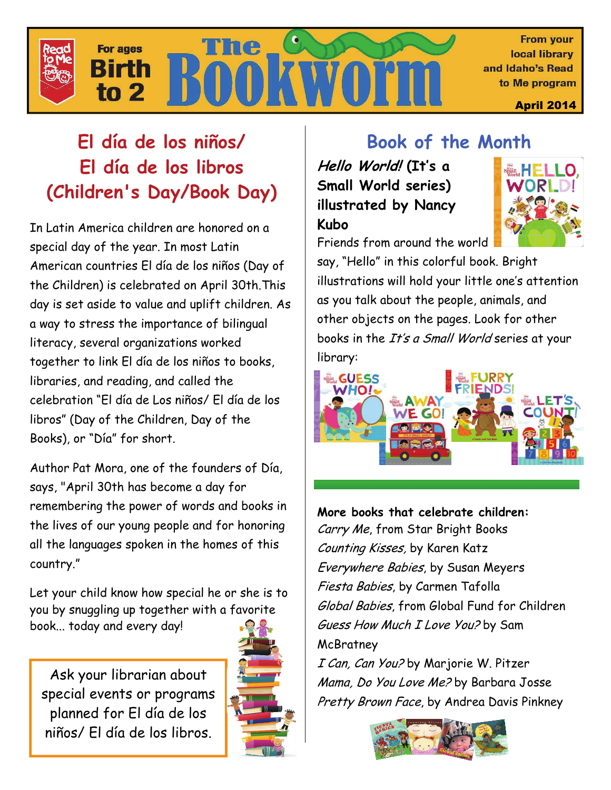

# **El día de los niños/ El día de los libros (Children's Day/Book Day)**

In Latin America children are honored on a special day of the year. In most Latin American countries El día de los niños (Day of the Children) is celebrated on April 30th.This day is set aside to value and uplift children. As a way to stress the importance of bilingual literacy, several organizations worked together to link El día de los niños to books, libraries, and reading, and called the celebration "El día de Los niños/ El día de los libros" (Day of the Children, Day of the Books), or "Día" for short.

Author Pat Mora, one of the founders of Día, says, "April 30th has become a day for remembering the power of words and books in the lives of our young people and for honoring all the languages spoken in the homes of this country."

Let your child know how special he or she is to you by snuggling up together with a favorite book... today and every day!

Ask your librarian about special events or programs planned for El día de los niños/ El día de los libros.



# **Book of the Month**

**Hello World! (It's a Small World series) illustrated by Nancy Kubo** 



Friends from around the world

say, "Hello" in this colorful book. Bright illustrations will hold your little one's attention as you talk about the people, animals, and other objects on the pages. Look for other books in the It's a Small World series at your library:



**More books that celebrate children:** Carry Me, from Star Bright Books Counting Kisses, by Karen Katz Everywhere Babies, by Susan Meyers Fiesta Babies, by Carmen Tafolla Global Babies, from Global Fund for Children Guess How Much I Love You? by Sam **McBratney** I Can, Can You? by Marjorie W. Pitzer Mama, Do You Love Me? by Barbara Josse Pretty Brown Face, by Andrea Davis Pinkney